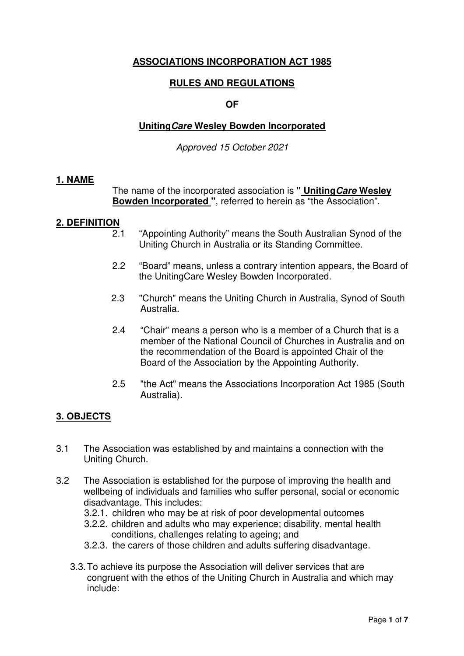# **ASSOCIATIONS INCORPORATION ACT 1985**

## **RULES AND REGULATIONS**

### **OF**

## **UnitingCare Wesley Bowden Incorporated**

Approved 15 October 2021

#### **1. NAME**

 The name of the incorporated association is **" UnitingCare Wesley Bowden Incorporated "**, referred to herein as "the Association".

### **2. DEFINITION**

- 2.1 "Appointing Authority" means the South Australian Synod of the Uniting Church in Australia or its Standing Committee.
- 2.2 "Board" means, unless a contrary intention appears, the Board of the UnitingCare Wesley Bowden Incorporated.
- 2.3 "Church" means the Uniting Church in Australia, Synod of South Australia.
- 2.4 "Chair" means a person who is a member of a Church that is a member of the National Council of Churches in Australia and on the recommendation of the Board is appointed Chair of the Board of the Association by the Appointing Authority.
- 2.5 "the Act" means the Associations Incorporation Act 1985 (South Australia).

# **3. OBJECTS**

- 3.1 The Association was established by and maintains a connection with the Uniting Church.
- 3.2 The Association is established for the purpose of improving the health and wellbeing of individuals and families who suffer personal, social or economic disadvantage. This includes:
	- 3.2.1. children who may be at risk of poor developmental outcomes
	- 3.2.2. children and adults who may experience; disability, mental health conditions, challenges relating to ageing; and
	- 3.2.3. the carers of those children and adults suffering disadvantage.
	- 3.3. To achieve its purpose the Association will deliver services that are congruent with the ethos of the Uniting Church in Australia and which may include: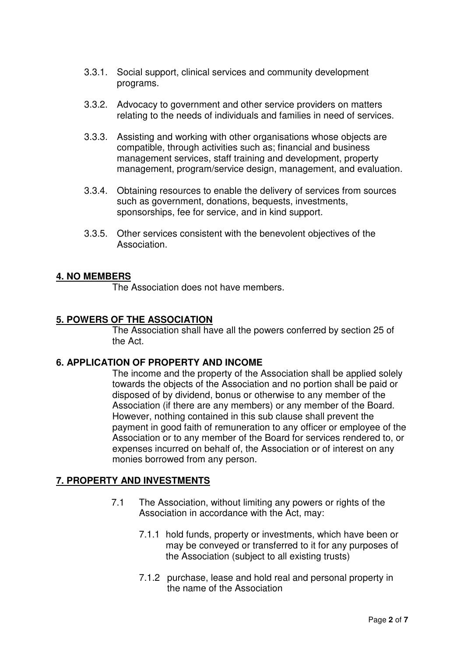- 3.3.1. Social support, clinical services and community development programs.
- 3.3.2. Advocacy to government and other service providers on matters relating to the needs of individuals and families in need of services.
- 3.3.3. Assisting and working with other organisations whose objects are compatible, through activities such as; financial and business management services, staff training and development, property management, program/service design, management, and evaluation.
- 3.3.4. Obtaining resources to enable the delivery of services from sources such as government, donations, bequests, investments, sponsorships, fee for service, and in kind support.
- 3.3.5. Other services consistent with the benevolent objectives of the Association.

# **4. NO MEMBERS**

The Association does not have members.

## **5. POWERS OF THE ASSOCIATION**

 The Association shall have all the powers conferred by section 25 of the Act.

### **6. APPLICATION OF PROPERTY AND INCOME**

The income and the property of the Association shall be applied solely towards the objects of the Association and no portion shall be paid or disposed of by dividend, bonus or otherwise to any member of the Association (if there are any members) or any member of the Board. However, nothing contained in this sub clause shall prevent the payment in good faith of remuneration to any officer or employee of the Association or to any member of the Board for services rendered to, or expenses incurred on behalf of, the Association or of interest on any monies borrowed from any person.

## **7. PROPERTY AND INVESTMENTS**

- 7.1 The Association, without limiting any powers or rights of the Association in accordance with the Act, may:
	- 7.1.1 hold funds, property or investments, which have been or may be conveyed or transferred to it for any purposes of the Association (subject to all existing trusts)
	- 7.1.2 purchase, lease and hold real and personal property in the name of the Association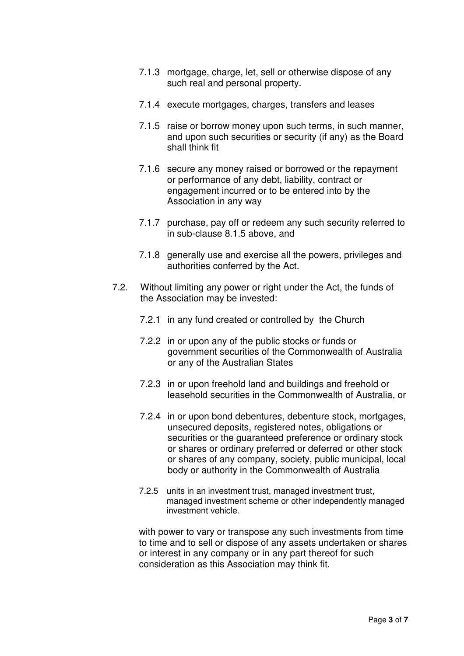- 7.1.3 mortgage, charge, let, sell or otherwise dispose of any such real and personal property.
- 7.1.4 execute mortgages, charges, transfers and leases
- 7.1.5 raise or borrow money upon such terms, in such manner, and upon such securities or security (if any) as the Board shall think fit
- 7.1.6 secure any money raised or borrowed or the repayment or performance of any debt, liability, contract or engagement incurred or to be entered into by the Association in any way
- 7.1.7 purchase, pay off or redeem any such security referred to in sub-clause 8.1.5 above, and
- 7.1.8 generally use and exercise all the powers, privileges and authorities conferred by the Act.
- 7.2. Without limiting any power or right under the Act, the funds of the Association may be invested:
	- 7.2.1 in any fund created or controlled by the Church
	- 7.2.2 in or upon any of the public stocks or funds or government securities of the Commonwealth of Australia or any of the Australian States
	- 7.2.3 in or upon freehold land and buildings and freehold or leasehold securities in the Commonwealth of Australia, or
	- 7.2.4 in or upon bond debentures, debenture stock, mortgages, unsecured deposits, registered notes, obligations or securities or the guaranteed preference or ordinary stock or shares or ordinary preferred or deferred or other stock or shares of any company, society, public municipal, local body or authority in the Commonwealth of Australia
	- 7.2.5 units in an investment trust, managed investment trust, managed investment scheme or other independently managed investment vehicle.

with power to vary or transpose any such investments from time to time and to sell or dispose of any assets undertaken or shares or interest in any company or in any part thereof for such consideration as this Association may think fit.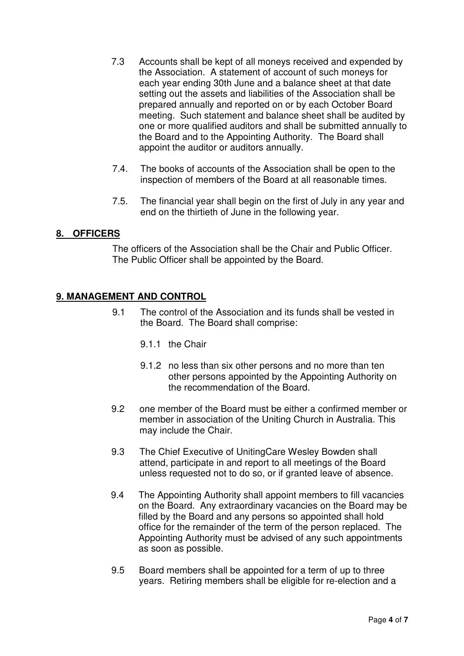- 7.3 Accounts shall be kept of all moneys received and expended by the Association. A statement of account of such moneys for each year ending 30th June and a balance sheet at that date setting out the assets and liabilities of the Association shall be prepared annually and reported on or by each October Board meeting. Such statement and balance sheet shall be audited by one or more qualified auditors and shall be submitted annually to the Board and to the Appointing Authority. The Board shall appoint the auditor or auditors annually.
- 7.4. The books of accounts of the Association shall be open to the inspection of members of the Board at all reasonable times.
- 7.5. The financial year shall begin on the first of July in any year and end on the thirtieth of June in the following year.

# **8. OFFICERS**

The officers of the Association shall be the Chair and Public Officer. The Public Officer shall be appointed by the Board.

# **9. MANAGEMENT AND CONTROL**

- 9.1 The control of the Association and its funds shall be vested in the Board. The Board shall comprise:
	- 9.1.1 the Chair
	- 9.1.2 no less than six other persons and no more than ten other persons appointed by the Appointing Authority on the recommendation of the Board.
- 9.2 one member of the Board must be either a confirmed member or member in association of the Uniting Church in Australia. This may include the Chair.
- 9.3 The Chief Executive of UnitingCare Wesley Bowden shall attend, participate in and report to all meetings of the Board unless requested not to do so, or if granted leave of absence.
- 9.4 The Appointing Authority shall appoint members to fill vacancies on the Board. Any extraordinary vacancies on the Board may be filled by the Board and any persons so appointed shall hold office for the remainder of the term of the person replaced. The Appointing Authority must be advised of any such appointments as soon as possible.
- 9.5 Board members shall be appointed for a term of up to three years. Retiring members shall be eligible for re-election and a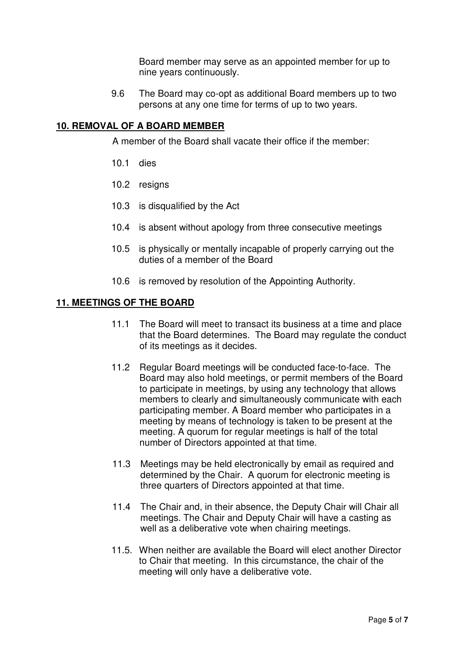Board member may serve as an appointed member for up to nine years continuously.

9.6 The Board may co-opt as additional Board members up to two persons at any one time for terms of up to two years.

# **10. REMOVAL OF A BOARD MEMBER**

A member of the Board shall vacate their office if the member:

- 10.1 dies
- 10.2 resigns
- 10.3 is disqualified by the Act
- 10.4 is absent without apology from three consecutive meetings
- 10.5 is physically or mentally incapable of properly carrying out the duties of a member of the Board
- 10.6 is removed by resolution of the Appointing Authority.

## **11. MEETINGS OF THE BOARD**

- 11.1 The Board will meet to transact its business at a time and place that the Board determines. The Board may regulate the conduct of its meetings as it decides.
- 11.2 Regular Board meetings will be conducted face-to-face. The Board may also hold meetings, or permit members of the Board to participate in meetings, by using any technology that allows members to clearly and simultaneously communicate with each participating member. A Board member who participates in a meeting by means of technology is taken to be present at the meeting. A quorum for regular meetings is half of the total number of Directors appointed at that time.
- 11.3 Meetings may be held electronically by email as required and determined by the Chair. A quorum for electronic meeting is three quarters of Directors appointed at that time.
- 11.4 The Chair and, in their absence, the Deputy Chair will Chair all meetings. The Chair and Deputy Chair will have a casting as well as a deliberative vote when chairing meetings.
- 11.5. When neither are available the Board will elect another Director to Chair that meeting. In this circumstance, the chair of the meeting will only have a deliberative vote.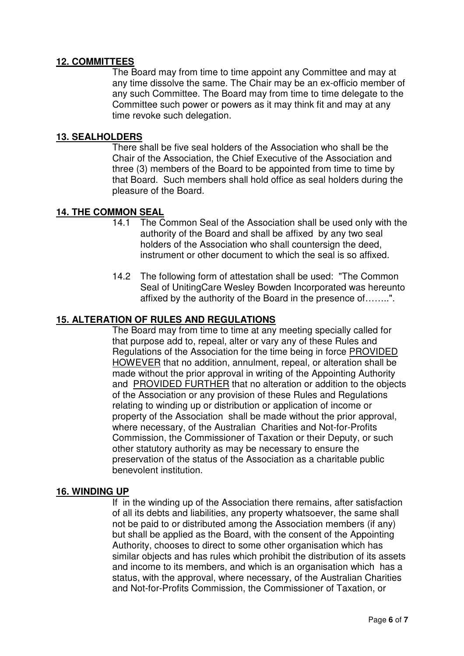# **12. COMMITTEES**

 The Board may from time to time appoint any Committee and may at any time dissolve the same. The Chair may be an ex-officio member of any such Committee. The Board may from time to time delegate to the Committee such power or powers as it may think fit and may at any time revoke such delegation.

# **13. SEALHOLDERS**

 There shall be five seal holders of the Association who shall be the Chair of the Association, the Chief Executive of the Association and three (3) members of the Board to be appointed from time to time by that Board. Such members shall hold office as seal holders during the pleasure of the Board.

## **14. THE COMMON SEAL**

- 14.1 The Common Seal of the Association shall be used only with the authority of the Board and shall be affixed by any two seal holders of the Association who shall countersign the deed. instrument or other document to which the seal is so affixed.
- 14.2 The following form of attestation shall be used: "The Common Seal of UnitingCare Wesley Bowden Incorporated was hereunto affixed by the authority of the Board in the presence of……..".

### **15. ALTERATION OF RULES AND REGULATIONS**

 The Board may from time to time at any meeting specially called for that purpose add to, repeal, alter or vary any of these Rules and Regulations of the Association for the time being in force PROVIDED HOWEVER that no addition, annulment, repeal, or alteration shall be made without the prior approval in writing of the Appointing Authority and PROVIDED FURTHER that no alteration or addition to the objects of the Association or any provision of these Rules and Regulations relating to winding up or distribution or application of income or property of the Association shall be made without the prior approval, where necessary, of the Australian Charities and Not-for-Profits Commission, the Commissioner of Taxation or their Deputy, or such other statutory authority as may be necessary to ensure the preservation of the status of the Association as a charitable public benevolent institution.

#### **16. WINDING UP**

If in the winding up of the Association there remains, after satisfaction of all its debts and liabilities, any property whatsoever, the same shall not be paid to or distributed among the Association members (if any) but shall be applied as the Board, with the consent of the Appointing Authority, chooses to direct to some other organisation which has similar objects and has rules which prohibit the distribution of its assets and income to its members, and which is an organisation which has a status, with the approval, where necessary, of the Australian Charities and Not-for-Profits Commission, the Commissioner of Taxation, or